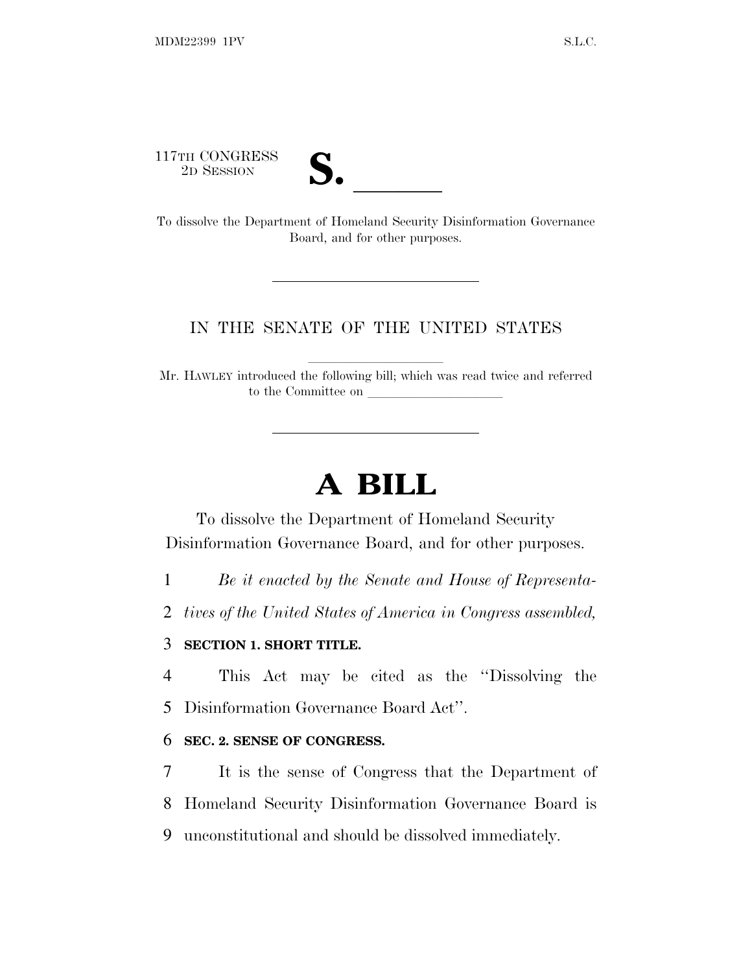117TH CONGRESS



117TH CONGRESS<br>
2D SESSION<br>
To dissolve the Department of Homeland Security Disinformation Governance Board, and for other purposes.

#### IN THE SENATE OF THE UNITED STATES

Mr. HAWLEY introduced the following bill; which was read twice and referred to the Committee on

# **A BILL**

To dissolve the Department of Homeland Security Disinformation Governance Board, and for other purposes.

1 *Be it enacted by the Senate and House of Representa-*

2 *tives of the United States of America in Congress assembled,*

#### 3 **SECTION 1. SHORT TITLE.**

4 This Act may be cited as the ''Dissolving the

5 Disinformation Governance Board Act''.

#### 6 **SEC. 2. SENSE OF CONGRESS.**

7 It is the sense of Congress that the Department of 8 Homeland Security Disinformation Governance Board is 9 unconstitutional and should be dissolved immediately.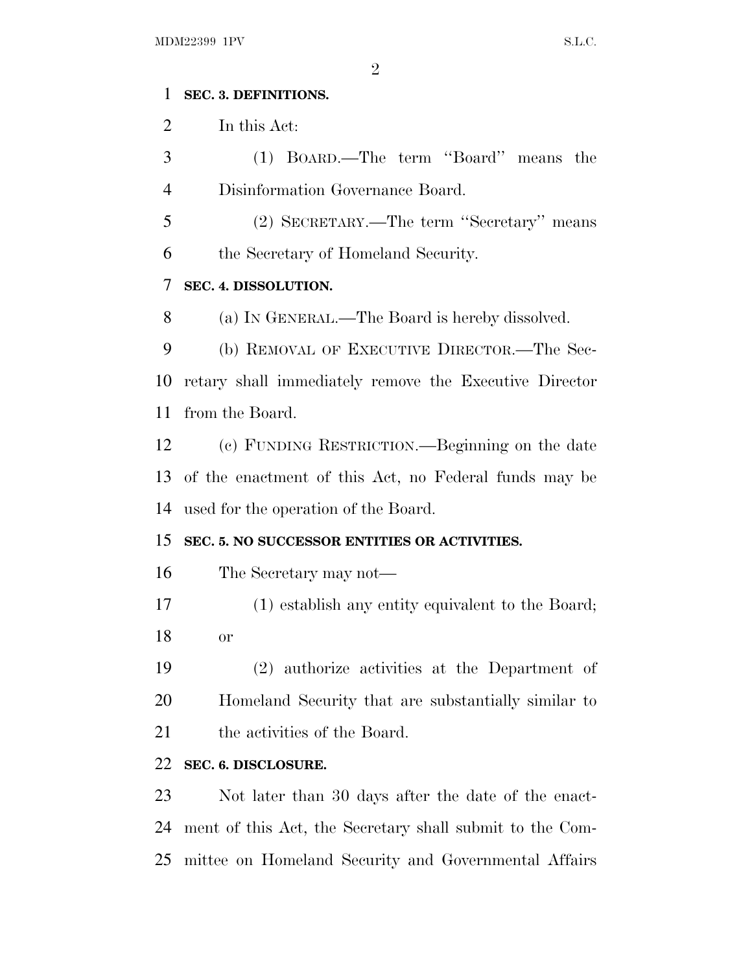#### **SEC. 3. DEFINITIONS.**

In this Act:

 (1) BOARD.—The term ''Board'' means the Disinformation Governance Board.

 (2) SECRETARY.—The term ''Secretary'' means the Secretary of Homeland Security.

## **SEC. 4. DISSOLUTION.**

(a) I<sup>N</sup> GENERAL.—The Board is hereby dissolved.

 (b) REMOVAL OF EXECUTIVE DIRECTOR.—The Sec- retary shall immediately remove the Executive Director from the Board.

 (c) FUNDING RESTRICTION.—Beginning on the date of the enactment of this Act, no Federal funds may be used for the operation of the Board.

### **SEC. 5. NO SUCCESSOR ENTITIES OR ACTIVITIES.**

- The Secretary may not—
- (1) establish any entity equivalent to the Board; or

 (2) authorize activities at the Department of Homeland Security that are substantially similar to 21 the activities of the Board.

### **SEC. 6. DISCLOSURE.**

 Not later than 30 days after the date of the enact- ment of this Act, the Secretary shall submit to the Com-mittee on Homeland Security and Governmental Affairs